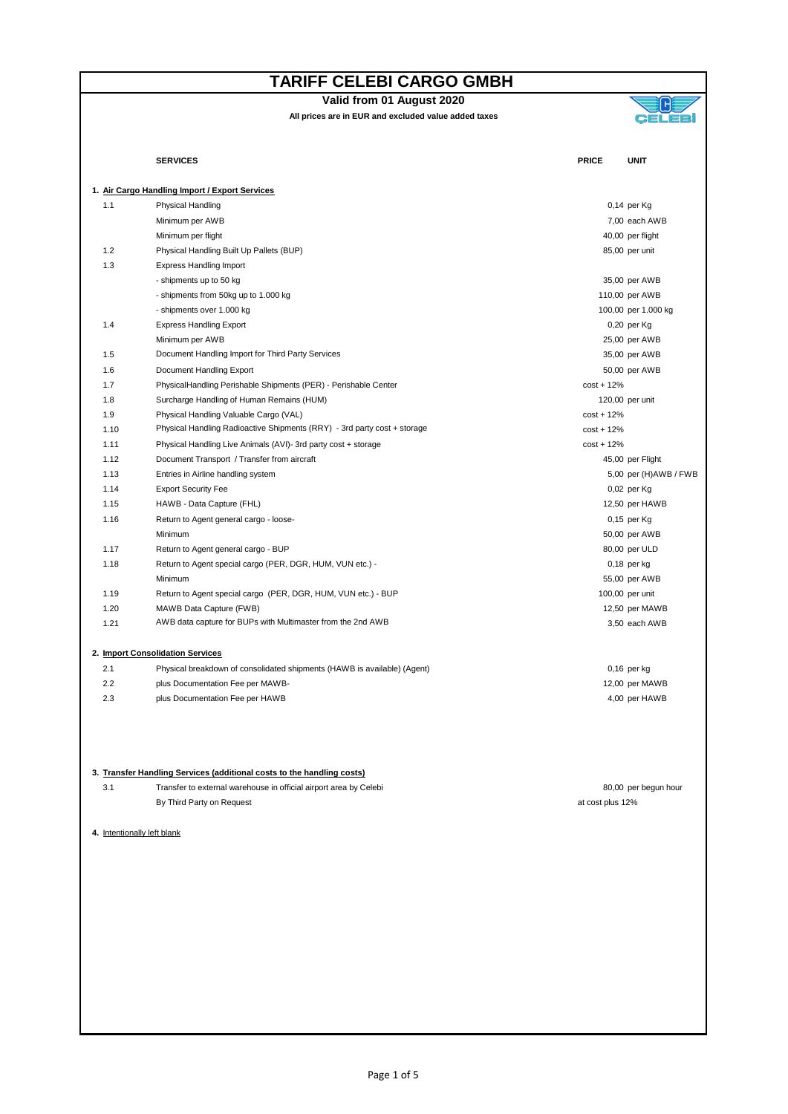**Valid from 01 August 2020**



|      | <b>SERVICES</b>                                                          | <b>PRICE</b><br><b>UNIT</b> |
|------|--------------------------------------------------------------------------|-----------------------------|
|      | 1. Air Cargo Handling Import / Export Services                           |                             |
| 1.1  | Physical Handling                                                        | 0,14 per Kg                 |
|      | Minimum per AWB                                                          | 7,00 each AWB               |
|      | Minimum per flight                                                       | 40,00 per flight            |
| 1.2  | Physical Handling Built Up Pallets (BUP)                                 | 85,00 per unit              |
| 1.3  | <b>Express Handling Import</b>                                           |                             |
|      | - shipments up to 50 kg                                                  | 35,00 per AWB               |
|      | - shipments from 50kg up to 1.000 kg                                     | 110,00 per AWB              |
|      | - shipments over 1.000 kg                                                | 100,00 per 1.000 kg         |
| 1.4  | <b>Express Handling Export</b>                                           | 0,20 per Kg                 |
|      | Minimum per AWB                                                          | 25,00 per AWB               |
| 1.5  | Document Handling Import for Third Party Services                        | 35,00 per AWB               |
| 1.6  | Document Handling Export                                                 | 50,00 per AWB               |
| 1.7  | PhysicalHandling Perishable Shipments (PER) - Perishable Center          | $cost + 12%$                |
| 1.8  | Surcharge Handling of Human Remains (HUM)                                | 120,00 per unit             |
| 1.9  | Physical Handling Valuable Cargo (VAL)                                   | $cost + 12%$                |
| 1.10 | Physical Handling Radioactive Shipments (RRY) - 3rd party cost + storage | $cost + 12%$                |
| 1.11 | Physical Handling Live Animals (AVI)- 3rd party cost + storage           | $cost + 12%$                |
| 1.12 | Document Transport / Transfer from aircraft                              | 45,00 per Flight            |
| 1.13 | Entries in Airline handling system                                       | 5,00 per (H)AWB / FWE       |
| 1.14 | <b>Export Security Fee</b>                                               | 0,02 per Kg                 |
| 1.15 | HAWB - Data Capture (FHL)                                                | 12,50 per HAWB              |
| 1.16 | Return to Agent general cargo - loose-                                   | 0,15 per Kg                 |
|      | Minimum                                                                  | 50,00 per AWB               |
| 1.17 | Return to Agent general cargo - BUP                                      | 80,00 per ULD               |
| 1.18 | Return to Agent special cargo (PER, DGR, HUM, VUN etc.) -                | $0,18$ per kg               |
|      | Minimum                                                                  | 55,00 per AWB               |
| 1.19 | Return to Agent special cargo (PER, DGR, HUM, VUN etc.) - BUP            | 100,00 per unit             |
| 1.20 | MAWB Data Capture (FWB)                                                  | 12,50 per MAWB              |
| 1.21 | AWB data capture for BUPs with Multimaster from the 2nd AWB              | 3,50 each AWB               |
|      | 2. Import Consolidation Services                                         |                             |
| 2.1  | Physical breakdown of consolidated shipments (HAWB is available) (Agent) | $0,16$ per kg               |
| 2.2  | plus Documentation Fee per MAWB-                                         | 12,00 per MAWB              |
| 2.3  | plus Documentation Fee per HAWB                                          | 4,00 per HAWB               |
|      | 3. Transfer Handling Services (additional costs to the handling costs)   |                             |
| 3.1  | Transfer to external warehouse in official airport area by Celebi        | 80,00 per begun hour        |
|      | By Third Party on Request                                                | at cost plus 12%            |
|      | 4. Intentionally left blank                                              |                             |
|      |                                                                          |                             |
|      |                                                                          |                             |
|      |                                                                          |                             |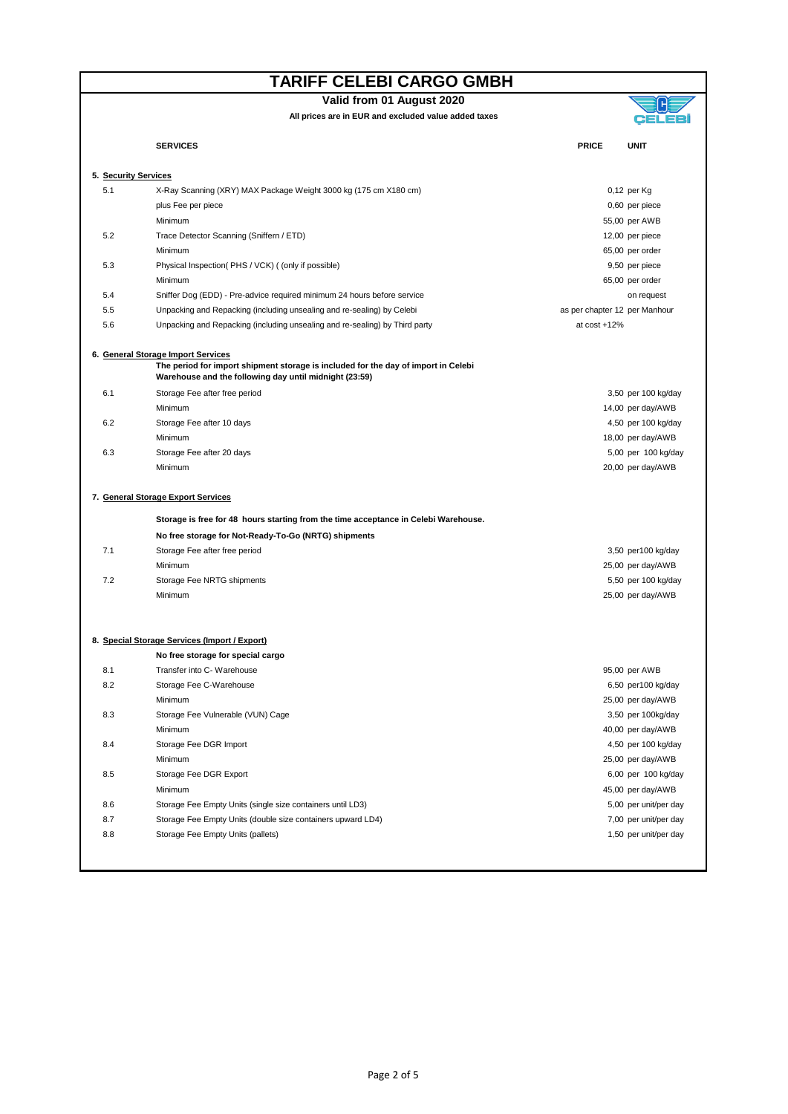**Valid from 01 August 2020**

**Alt** 

|     | All prices are in EUR and excluded value added taxes                                                                                         |                               |                       |  |  |  |  |
|-----|----------------------------------------------------------------------------------------------------------------------------------------------|-------------------------------|-----------------------|--|--|--|--|
|     | <b>SERVICES</b>                                                                                                                              | <b>PRICE</b>                  | <b>UNIT</b>           |  |  |  |  |
|     | 5. Security Services                                                                                                                         |                               |                       |  |  |  |  |
| 5.1 | X-Ray Scanning (XRY) MAX Package Weight 3000 kg (175 cm X180 cm)                                                                             |                               | 0,12 per Kg           |  |  |  |  |
|     | plus Fee per piece                                                                                                                           |                               | 0,60 per piece        |  |  |  |  |
|     | Minimum                                                                                                                                      |                               | 55,00 per AWB         |  |  |  |  |
| 5.2 | Trace Detector Scanning (Sniffern / ETD)                                                                                                     |                               | 12,00 per piece       |  |  |  |  |
|     | Minimum                                                                                                                                      |                               | 65,00 per order       |  |  |  |  |
| 5.3 | Physical Inspection(PHS / VCK) ((only if possible)                                                                                           |                               | 9,50 per piece        |  |  |  |  |
|     | Minimum                                                                                                                                      |                               | 65,00 per order       |  |  |  |  |
| 5.4 | Sniffer Dog (EDD) - Pre-advice required minimum 24 hours before service                                                                      |                               | on request            |  |  |  |  |
| 5.5 | Unpacking and Repacking (including unsealing and re-sealing) by Celebi                                                                       | as per chapter 12 per Manhour |                       |  |  |  |  |
| 5.6 | Unpacking and Repacking (including unsealing and re-sealing) by Third party                                                                  | at $cost + 12%$               |                       |  |  |  |  |
|     | 6. General Storage Import Services                                                                                                           |                               |                       |  |  |  |  |
|     | The period for import shipment storage is included for the day of import in Celebi<br>Warehouse and the following day until midnight (23:59) |                               |                       |  |  |  |  |
| 6.1 | Storage Fee after free period                                                                                                                |                               | 3,50 per 100 kg/day   |  |  |  |  |
|     | Minimum                                                                                                                                      |                               | 14,00 per day/AWB     |  |  |  |  |
| 6.2 | Storage Fee after 10 days                                                                                                                    |                               | 4,50 per 100 kg/day   |  |  |  |  |
|     | Minimum                                                                                                                                      |                               | 18,00 per day/AWB     |  |  |  |  |
| 6.3 | Storage Fee after 20 days                                                                                                                    |                               | 5,00 per 100 kg/day   |  |  |  |  |
|     | Minimum                                                                                                                                      |                               | 20,00 per day/AWB     |  |  |  |  |
|     | 7. General Storage Export Services                                                                                                           |                               |                       |  |  |  |  |
|     | Storage is free for 48 hours starting from the time acceptance in Celebi Warehouse.                                                          |                               |                       |  |  |  |  |
|     | No free storage for Not-Ready-To-Go (NRTG) shipments                                                                                         |                               |                       |  |  |  |  |
| 7.1 | Storage Fee after free period                                                                                                                |                               | 3,50 per100 kg/day    |  |  |  |  |
|     | Minimum                                                                                                                                      |                               | 25,00 per day/AWB     |  |  |  |  |
| 7.2 | Storage Fee NRTG shipments                                                                                                                   |                               | 5,50 per 100 kg/day   |  |  |  |  |
|     | Minimum                                                                                                                                      |                               | 25,00 per day/AWB     |  |  |  |  |
|     |                                                                                                                                              |                               |                       |  |  |  |  |
|     | 8. Special Storage Services (Import / Export)<br>No free storage for special cargo                                                           |                               |                       |  |  |  |  |
| 8.1 | Transfer into C- Warehouse                                                                                                                   |                               | 95,00 per AWB         |  |  |  |  |
| 8.2 | Storage Fee C-Warehouse                                                                                                                      |                               | 6,50 per100 kg/day    |  |  |  |  |
|     | Minimum                                                                                                                                      |                               | 25,00 per day/AWB     |  |  |  |  |
| 8.3 | Storage Fee Vulnerable (VUN) Cage                                                                                                            |                               | 3,50 per 100kg/day    |  |  |  |  |
|     | Minimum                                                                                                                                      |                               |                       |  |  |  |  |
|     |                                                                                                                                              |                               | 40,00 per day/AWB     |  |  |  |  |
| 8.4 | Storage Fee DGR Import                                                                                                                       |                               | 4,50 per 100 kg/day   |  |  |  |  |
|     | Minimum                                                                                                                                      |                               | 25,00 per day/AWB     |  |  |  |  |
| 8.5 | Storage Fee DGR Export                                                                                                                       |                               | 6,00 per 100 kg/day   |  |  |  |  |
|     | Minimum                                                                                                                                      |                               | 45,00 per day/AWB     |  |  |  |  |
| 8.6 | Storage Fee Empty Units (single size containers until LD3)                                                                                   |                               | 5,00 per unit/per day |  |  |  |  |
| 8.7 | Storage Fee Empty Units (double size containers upward LD4)                                                                                  |                               | 7,00 per unit/per day |  |  |  |  |
| 8.8 | Storage Fee Empty Units (pallets)                                                                                                            |                               | 1,50 per unit/per day |  |  |  |  |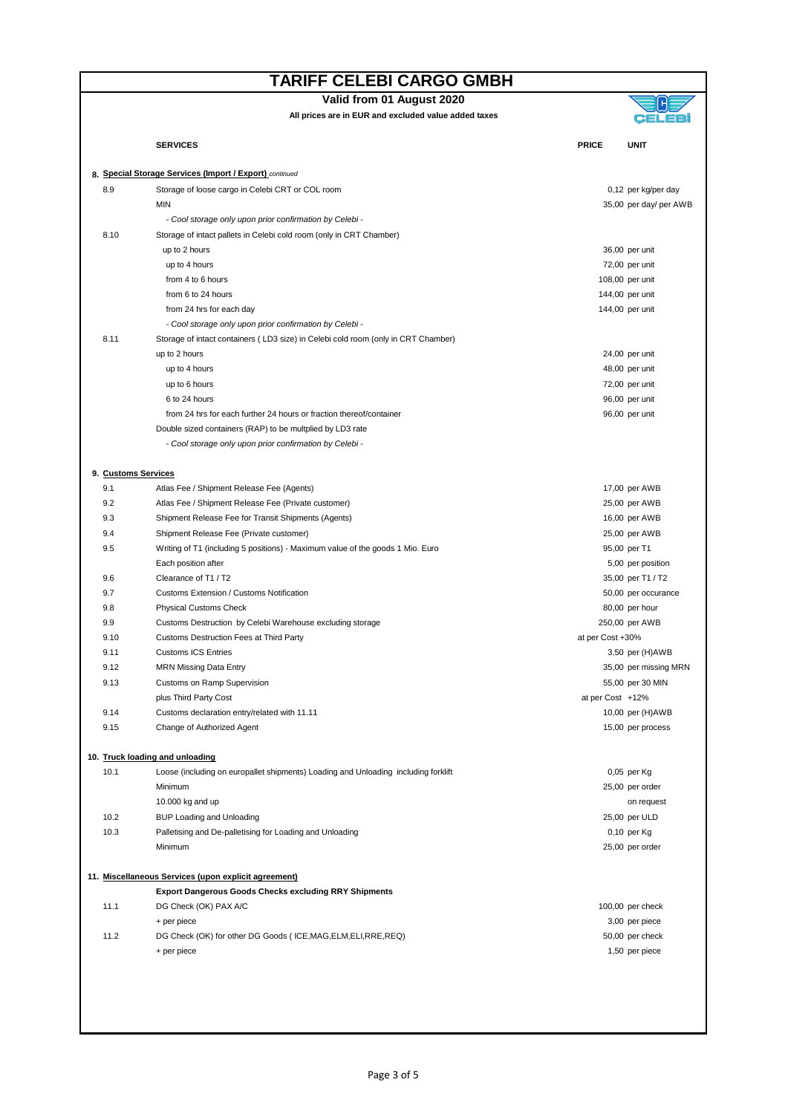| Valid from 01 August 2020 |  |
|---------------------------|--|
|---------------------------|--|

|                                                         | <b>SERVICES</b>                                                                    | <b>PRICE</b>     | UNIT                                  |  |  |
|---------------------------------------------------------|------------------------------------------------------------------------------------|------------------|---------------------------------------|--|--|
| 8. Special Storage Services (Import / Export) continued |                                                                                    |                  |                                       |  |  |
| 8.9                                                     | Storage of loose cargo in Celebi CRT or COL room                                   |                  | 0,12 per kg/per day                   |  |  |
|                                                         | <b>MIN</b>                                                                         |                  | 35,00 per day/ per AWB                |  |  |
|                                                         | - Cool storage only upon prior confirmation by Celebi -                            |                  |                                       |  |  |
| 8.10                                                    | Storage of intact pallets in Celebi cold room (only in CRT Chamber)                |                  |                                       |  |  |
|                                                         | up to 2 hours                                                                      |                  | 36,00 per unit                        |  |  |
|                                                         | up to 4 hours                                                                      |                  | 72,00 per unit                        |  |  |
|                                                         | from 4 to 6 hours                                                                  |                  | 108,00 per unit                       |  |  |
|                                                         | from 6 to 24 hours                                                                 |                  | 144,00 per unit                       |  |  |
|                                                         | from 24 hrs for each day                                                           |                  | 144,00 per unit                       |  |  |
|                                                         | - Cool storage only upon prior confirmation by Celebi -                            |                  |                                       |  |  |
| 8.11                                                    | Storage of intact containers (LD3 size) in Celebi cold room (only in CRT Chamber)  |                  |                                       |  |  |
|                                                         | up to 2 hours                                                                      |                  | 24,00 per unit                        |  |  |
|                                                         | up to 4 hours                                                                      |                  | 48,00 per unit                        |  |  |
|                                                         | up to 6 hours                                                                      |                  | 72,00 per unit                        |  |  |
|                                                         | 6 to 24 hours                                                                      |                  | 96,00 per unit                        |  |  |
|                                                         | from 24 hrs for each further 24 hours or fraction thereof/container                |                  | 96,00 per unit                        |  |  |
|                                                         | Double sized containers (RAP) to be multplied by LD3 rate                          |                  |                                       |  |  |
|                                                         | - Cool storage only upon prior confirmation by Celebi -                            |                  |                                       |  |  |
| 9. Customs Services                                     |                                                                                    |                  |                                       |  |  |
| 9.1                                                     | Atlas Fee / Shipment Release Fee (Agents)                                          |                  | 17,00 per AWB                         |  |  |
| 9.2                                                     | Atlas Fee / Shipment Release Fee (Private customer)                                |                  | 25,00 per AWB                         |  |  |
| 9.3                                                     | Shipment Release Fee for Transit Shipments (Agents)                                |                  | 16,00 per AWB                         |  |  |
| 9.4                                                     | Shipment Release Fee (Private customer)                                            |                  | 25,00 per AWB                         |  |  |
| 9.5                                                     | Writing of T1 (including 5 positions) - Maximum value of the goods 1 Mio. Euro     |                  | 95,00 per T1                          |  |  |
|                                                         | Each position after                                                                |                  | 5,00 per position                     |  |  |
| 9.6                                                     | Clearance of T1 / T2                                                               |                  | 35,00 per T1 / T2                     |  |  |
| 9.7                                                     | <b>Customs Extension / Customs Notification</b>                                    |                  | 50,00 per occurance                   |  |  |
| 9.8                                                     | <b>Physical Customs Check</b>                                                      |                  | 80,00 per hour                        |  |  |
| 9.9                                                     | Customs Destruction by Celebi Warehouse excluding storage                          |                  | 250,00 per AWB                        |  |  |
| 9.10                                                    | Customs Destruction Fees at Third Party                                            | at per Cost +30% |                                       |  |  |
| 9.11                                                    | <b>Customs ICS Entries</b>                                                         |                  | 3,50 per (H)AWB                       |  |  |
| 9.12                                                    | <b>MRN Missing Data Entry</b>                                                      |                  | 35,00 per missing MRN                 |  |  |
| 9.13                                                    | <b>Customs on Ramp Supervision</b>                                                 |                  | 55,00 per 30 MIN                      |  |  |
| 9.14                                                    | plus Third Party Cost<br>Customs declaration entry/related with 11.11              | at per Cost +12% |                                       |  |  |
|                                                         | Change of Authorized Agent                                                         |                  | 10,00 per (H)AWB<br>15,00 per process |  |  |
| 9.15                                                    |                                                                                    |                  |                                       |  |  |
|                                                         | 10. Truck loading and unloading                                                    |                  |                                       |  |  |
| 10.1                                                    | Loose (including on europallet shipments) Loading and Unloading including forklift |                  | 0,05 per Kg                           |  |  |
|                                                         | Minimum                                                                            |                  | 25,00 per order                       |  |  |
|                                                         | 10.000 kg and up                                                                   |                  | on request                            |  |  |
| 10.2                                                    | BUP Loading and Unloading                                                          |                  | 25,00 per ULD                         |  |  |
| 10.3                                                    | Palletising and De-palletising for Loading and Unloading                           |                  | 0,10 per Kg                           |  |  |
|                                                         | Minimum                                                                            |                  | 25,00 per order                       |  |  |
|                                                         | 11. Miscellaneous Services (upon explicit agreement)                               |                  |                                       |  |  |
|                                                         | <b>Export Dangerous Goods Checks excluding RRY Shipments</b>                       |                  |                                       |  |  |
| 11.1                                                    | DG Check (OK) PAX A/C                                                              |                  | 100,00 per check                      |  |  |
|                                                         | + per piece                                                                        |                  | 3,00 per piece                        |  |  |
| 11.2                                                    | DG Check (OK) for other DG Goods (ICE, MAG, ELM, ELI, RRE, REQ)                    |                  | 50,00 per check                       |  |  |
|                                                         | + per piece                                                                        |                  | 1,50 per piece                        |  |  |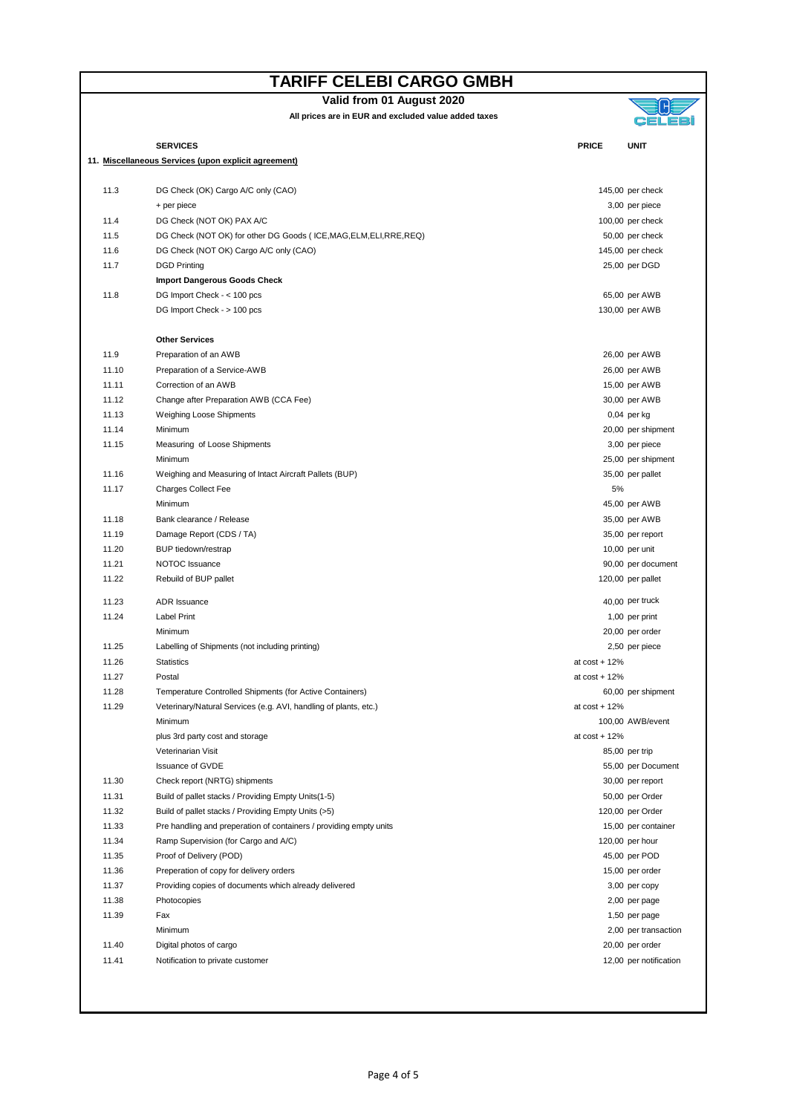|  | Valid from 01 August 2020 |
|--|---------------------------|
|--|---------------------------|



|       | <b>SERVICES</b>                                                     | <b>PRICE</b>    | <b>UNIT</b>                               |
|-------|---------------------------------------------------------------------|-----------------|-------------------------------------------|
|       | 11. Miscellaneous Services (upon explicit agreement)                |                 |                                           |
|       |                                                                     |                 |                                           |
| 11.3  | DG Check (OK) Cargo A/C only (CAO)                                  |                 | 145,00 per check                          |
|       | + per piece                                                         |                 | 3,00 per piece                            |
| 11.4  | DG Check (NOT OK) PAX A/C                                           |                 | 100,00 per check                          |
| 11.5  | DG Check (NOT OK) for other DG Goods (ICE, MAG, ELM, ELI, RRE, REQ) |                 | 50,00 per check                           |
| 11.6  | DG Check (NOT OK) Cargo A/C only (CAO)                              |                 | 145,00 per check                          |
| 11.7  | <b>DGD Printing</b>                                                 |                 | 25,00 per DGD                             |
|       | <b>Import Dangerous Goods Check</b>                                 |                 |                                           |
| 11.8  | DG Import Check - < 100 pcs                                         |                 | 65,00 per AWB                             |
|       | DG Import Check - > 100 pcs                                         |                 | 130,00 per AWB                            |
|       |                                                                     |                 |                                           |
|       | <b>Other Services</b>                                               |                 |                                           |
| 11.9  | Preparation of an AWB                                               |                 | 26,00 per AWB                             |
| 11.10 | Preparation of a Service-AWB                                        |                 | 26,00 per AWB                             |
| 11.11 | Correction of an AWB                                                |                 | 15,00 per AWB                             |
| 11.12 | Change after Preparation AWB (CCA Fee)                              |                 | 30,00 per AWB                             |
| 11.13 | <b>Weighing Loose Shipments</b>                                     |                 | $0,04$ per kg                             |
| 11.14 | Minimum                                                             |                 | 20,00 per shipment                        |
| 11.15 | Measuring of Loose Shipments                                        |                 | 3,00 per piece                            |
|       | Minimum                                                             |                 | 25,00 per shipment                        |
| 11.16 | Weighing and Measuring of Intact Aircraft Pallets (BUP)             |                 | 35,00 per pallet                          |
| 11.17 | <b>Charges Collect Fee</b>                                          | 5%              |                                           |
|       | Minimum                                                             |                 | 45,00 per AWB                             |
| 11.18 | Bank clearance / Release                                            |                 | 35,00 per AWB                             |
| 11.19 | Damage Report (CDS / TA)                                            |                 | 35,00 per report                          |
| 11.20 | BUP tiedown/restrap                                                 |                 | 10,00 per unit                            |
| 11.21 | NOTOC Issuance                                                      |                 | 90,00 per document                        |
| 11.22 | Rebuild of BUP pallet                                               |                 | 120,00 per pallet                         |
| 11.23 | <b>ADR</b> Issuance                                                 |                 | 40,00 per truck                           |
| 11.24 | <b>Label Print</b>                                                  |                 | 1,00 per print                            |
|       | Minimum                                                             |                 | 20,00 per order                           |
| 11.25 | Labelling of Shipments (not including printing)                     |                 | 2,50 per piece                            |
| 11.26 | <b>Statistics</b>                                                   | at $cost + 12%$ |                                           |
| 11.27 | Postal                                                              | at $cost + 12%$ |                                           |
| 11.28 | Temperature Controlled Shipments (for Active Containers)            |                 | 60,00 per shipment                        |
| 11.29 | Veterinary/Natural Services (e.g. AVI, handling of plants, etc.)    | at $cost + 12%$ |                                           |
|       | Minimum                                                             |                 | 100,00 AWB/event                          |
|       | plus 3rd party cost and storage                                     | at $cost + 12%$ |                                           |
|       | Veterinarian Visit                                                  |                 | 85,00 per trip                            |
|       | <b>Issuance of GVDE</b>                                             |                 | 55,00 per Document                        |
| 11.30 | Check report (NRTG) shipments                                       |                 | 30,00 per report                          |
| 11.31 | Build of pallet stacks / Providing Empty Units (1-5)                |                 | 50,00 per Order                           |
| 11.32 | Build of pallet stacks / Providing Empty Units (>5)                 |                 | 120,00 per Order                          |
| 11.33 | Pre handling and preperation of containers / providing empty units  |                 | 15,00 per container                       |
| 11.34 | Ramp Supervision (for Cargo and A/C)                                |                 | 120,00 per hour                           |
| 11.35 | Proof of Delivery (POD)                                             |                 | 45,00 per POD                             |
| 11.36 | Preperation of copy for delivery orders                             |                 | 15,00 per order                           |
| 11.37 | Providing copies of documents which already delivered               |                 | 3,00 per copy                             |
| 11.38 | Photocopies                                                         |                 |                                           |
| 11.39 | Fax                                                                 |                 | 2,00 per page                             |
|       | Minimum                                                             |                 | 1,50 per page                             |
| 11.40 |                                                                     |                 | 2,00 per transaction                      |
| 11.41 | Digital photos of cargo                                             |                 | 20,00 per order<br>12,00 per notification |
|       | Notification to private customer                                    |                 |                                           |
|       |                                                                     |                 |                                           |